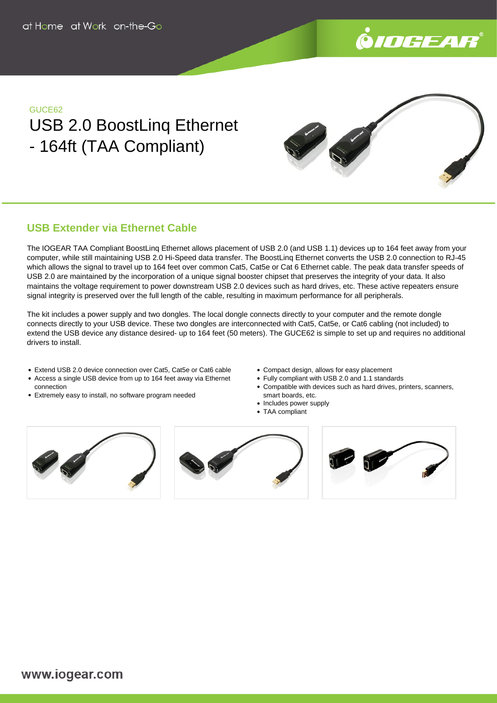

### GUCE62

# USB 2.0 BoostLinq Ethernet - 164ft (TAA Compliant)



## **USB Extender via Ethernet Cable**

The IOGEAR TAA Compliant BoostLinq Ethernet allows placement of USB 2.0 (and USB 1.1) devices up to 164 feet away from your computer, while still maintaining USB 2.0 Hi-Speed data transfer. The BoostLinq Ethernet converts the USB 2.0 connection to RJ-45 which allows the signal to travel up to 164 feet over common Cat5, Cat5e or Cat 6 Ethernet cable. The peak data transfer speeds of USB 2.0 are maintained by the incorporation of a unique signal booster chipset that preserves the integrity of your data. It also maintains the voltage requirement to power downstream USB 2.0 devices such as hard drives, etc. These active repeaters ensure signal integrity is preserved over the full length of the cable, resulting in maximum performance for all peripherals.

The kit includes a power supply and two dongles. The local dongle connects directly to your computer and the remote dongle connects directly to your USB device. These two dongles are interconnected with Cat5, Cat5e, or Cat6 cabling (not included) to extend the USB device any distance desired- up to 164 feet (50 meters). The GUCE62 is simple to set up and requires no additional drivers to install.

- Extend USB 2.0 device connection over Cat5, Cat5e or Cat6 cable
- Access a single USB device from up to 164 feet away via Ethernet connection
- Extremely easy to install, no software program needed
- Compact design, allows for easy placement
- Fully compliant with USB 2.0 and 1.1 standards
- Compatible with devices such as hard drives, printers, scanners, smart boards, etc.
- Includes power supply
- TAA compliant







www.iogear.com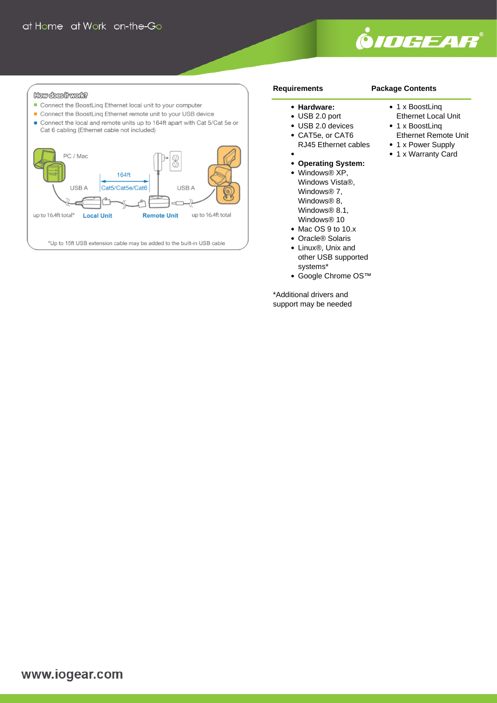

#### How does frwak?

- Connect the BoostLinq Ethernet local unit to your computer
- Connect the BoostLing Ethernet remote unit to your USB device
- Connect the local and remote units up to 164ft apart with Cat 5/Cat 5e or Cat 6 cabling (Ethernet cable not included)



#### **Requirements**

#### **Hardware:**

- USB 2.0 port
- USB 2.0 devices
- CAT5e, or CAT6 RJ45 Ethernet cables
- 
- **Operating System:**
- Windows® XP, Windows Vista®, Windows® 7, Windows® 8, Windows® 8.1, Windows® 10
- Mac OS 9 to 10.x
- Oracle® Solaris
- Linux®, Unix and other USB supported systems\*
- Google Chrome OS™

\*Additional drivers and support may be needed

# **Package Contents**

- 1 x BoostLing
- Ethernet Local Unit
- 1 x BoostLing
- Ethernet Remote Unit • 1 x Power Supply
- 1 x Warranty Card